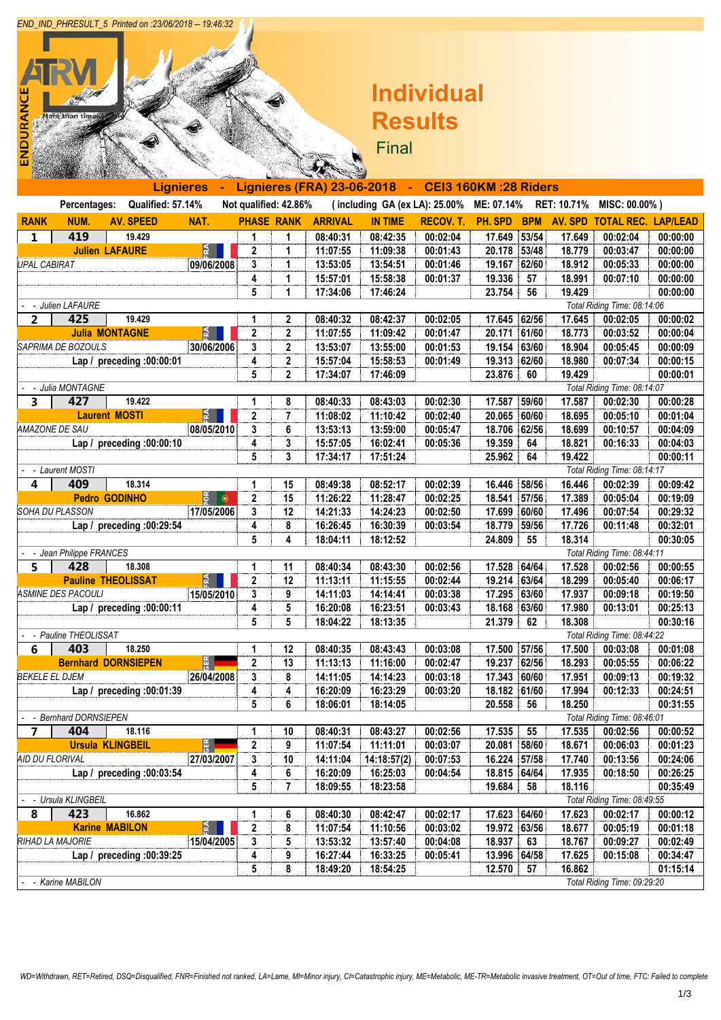## **Individual Results**

Final

END\_IND\_PHRESULT\_5 Printed on :23/06/2018 -- 19:46:32

ENDURANCE

**NGte than thm** 

|                                                                      |                                                                                                                                                                                                                                     | Percentages: Qualified: 57.14% Not qualified: 42.86% (including GA (ex LA): 25.00% ME: 07.14% RET: 10.71% MISC: 00.00%)                            |                                                                                                                                                                                                                                                                          |
|----------------------------------------------------------------------|-------------------------------------------------------------------------------------------------------------------------------------------------------------------------------------------------------------------------------------|----------------------------------------------------------------------------------------------------------------------------------------------------|--------------------------------------------------------------------------------------------------------------------------------------------------------------------------------------------------------------------------------------------------------------------------|
|                                                                      |                                                                                                                                                                                                                                     | <mark>( NUM. AV.SPEED NAT. PHASE_RANK_ARRIVAL IN_TIME__RECOV.T._PH.SPD_BPM_AV.SPD_TOTALRE</mark>                                                   |                                                                                                                                                                                                                                                                          |
| <b>419</b> 19.429<br><b>Julien LAFAURE</b>                           |                                                                                                                                                                                                                                     |                                                                                                                                                    | $\begin{array}{c cccccc} 1 & 1 & 08:40:31 & 08:42:35 & 00:02:04 & 17.649 & 53/54 & 17.649 & 00:02:04 & 00:00:00 \\ 2 & 1 & 11:07:55 & 11:09:38 & 00:01:43 & 20.178 & 53/48 & 18.779 & 00:03:47 & 00:00:00 \\ 3 & 1 & 13:53:05 & 13:54:51 & 00:01:46 & 19.167 & 62/60 & $ |
|                                                                      | $\frac{3}{2}$ $\frac{3}{2}$ $\frac{3}{2}$                                                                                                                                                                                           |                                                                                                                                                    |                                                                                                                                                                                                                                                                          |
|                                                                      | 09/06/2008                                                                                                                                                                                                                          |                                                                                                                                                    |                                                                                                                                                                                                                                                                          |
|                                                                      |                                                                                                                                                                                                                                     | 1 15:57:01 15:58:38 00:01:37 19.336 57 18.991 00:07:10 1<br>1 17:34:06 17:46:24 23.754 56 19.429                                                   |                                                                                                                                                                                                                                                                          |
| Julien LAFAURE                                                       |                                                                                                                                                                                                                                     |                                                                                                                                                    |                                                                                                                                                                                                                                                                          |
|                                                                      |                                                                                                                                                                                                                                     | 1 2 08:40:32 08:42:37 00:02:05 17.645 62/56                                                                                                        |                                                                                                                                                                                                                                                                          |
| 19.425 19.429                                                        |                                                                                                                                                                                                                                     |                                                                                                                                                    |                                                                                                                                                                                                                                                                          |
|                                                                      |                                                                                                                                                                                                                                     |                                                                                                                                                    |                                                                                                                                                                                                                                                                          |
| Lap / preceding :00:00:01                                            |                                                                                                                                                                                                                                     |                                                                                                                                                    |                                                                                                                                                                                                                                                                          |
|                                                                      |                                                                                                                                                                                                                                     |                                                                                                                                                    | 00:00:01                                                                                                                                                                                                                                                                 |
| <b>INONTACNE</b>                                                     |                                                                                                                                                                                                                                     |                                                                                                                                                    |                                                                                                                                                                                                                                                                          |
| <b>427</b> 19.422<br><b>Laurent MOSTI</b>                            |                                                                                                                                                                                                                                     | $\begin{array}{ c c c c c c c c c } \hline \textbf{1} & \textbf{8} & \textbf{08:40:33} & \textbf{08:43:03} & \textbf{00:02:30} \hline \end{array}$ |                                                                                                                                                                                                                                                                          |
|                                                                      | $\mathbb{R}$ $\blacksquare$<br>08/05/2010                                                                                                                                                                                           |                                                                                                                                                    |                                                                                                                                                                                                                                                                          |
| Lap / preceding :00:00:10                                            |                                                                                                                                                                                                                                     |                                                                                                                                                    |                                                                                                                                                                                                                                                                          |
|                                                                      |                                                                                                                                                                                                                                     |                                                                                                                                                    |                                                                                                                                                                                                                                                                          |
|                                                                      |                                                                                                                                                                                                                                     |                                                                                                                                                    |                                                                                                                                                                                                                                                                          |
| 409 18.314                                                           |                                                                                                                                                                                                                                     |                                                                                                                                                    |                                                                                                                                                                                                                                                                          |
|                                                                      |                                                                                                                                                                                                                                     | ا 11.26:22 11:28:47 00:02:25 18.541 57/56 17.389 00:05:04 L أَوْلَ 17/05/2006 3 12 14:21:33 14:24:23 00:02:50 17.699 60/60 17.496 00:07:54 00      |                                                                                                                                                                                                                                                                          |
| SOHA DU PLASSON                                                      |                                                                                                                                                                                                                                     |                                                                                                                                                    |                                                                                                                                                                                                                                                                          |
| Lap / preceding :00:29:54                                            |                                                                                                                                                                                                                                     | 4 8 16:26:45 16:30:39 00:03:54 18.779 59/56 17.726 00:11:48 00<br>5 4 18:04:11 18:12:52 24.809 55 18.314                                           |                                                                                                                                                                                                                                                                          |
|                                                                      |                                                                                                                                                                                                                                     |                                                                                                                                                    |                                                                                                                                                                                                                                                                          |
| Jean Philippe FRANCES<br>428 18.308<br>Pauline THEOLISSAT            |                                                                                                                                                                                                                                     |                                                                                                                                                    |                                                                                                                                                                                                                                                                          |
|                                                                      |                                                                                                                                                                                                                                     |                                                                                                                                                    |                                                                                                                                                                                                                                                                          |
|                                                                      |                                                                                                                                                                                                                                     |                                                                                                                                                    |                                                                                                                                                                                                                                                                          |
| Lap / preceding :00:00:11                                            |                                                                                                                                                                                                                                     |                                                                                                                                                    |                                                                                                                                                                                                                                                                          |
|                                                                      |                                                                                                                                                                                                                                     | $\begin{array}{ c c c c c c }\hline \hspace{1.6cm}5 & \hspace{1.6cm}5 & \hspace{1.6cm}18:04:22& \hspace{1.6cm}18:13:35& \end{array}$               | 00:30:16<br>21.379 62 18.308                                                                                                                                                                                                                                             |
|                                                                      |                                                                                                                                                                                                                                     |                                                                                                                                                    |                                                                                                                                                                                                                                                                          |
| <b>5</b> 403 18.250<br>Bernhard DORNSIEPEN                           |                                                                                                                                                                                                                                     | 1 12 08:40:35 08:43:43 00:03:08 17.500 57/56 17.500 00:03:08                                                                                       |                                                                                                                                                                                                                                                                          |
|                                                                      |                                                                                                                                                                                                                                     |                                                                                                                                                    |                                                                                                                                                                                                                                                                          |
| BEKELE EL DJEM                                                       | 26/04/2008                                                                                                                                                                                                                          | 8 14:11:05 14:14:23 00:03:18                                                                                                                       | $\begin{array}{ c c c c c c c c } \hline & \textbf{17.343} & \textbf{60/60} & \textbf{17.951} & \textbf{00:09:13} \hline \end{array}$                                                                                                                                    |
| Lap / preceding :00:01:39                                            |                                                                                                                                                                                                                                     | 4 4 16:20:09 16:23:29 00:03:20 18.182 61/60 17.994 00:12:33 00:24:51<br>5 6 18:06:01 18:14:05 20.558 56 18.250 00:31:55                            |                                                                                                                                                                                                                                                                          |
| - - Bernhard DORNSIEPEN                                              |                                                                                                                                                                                                                                     |                                                                                                                                                    |                                                                                                                                                                                                                                                                          |
|                                                                      |                                                                                                                                                                                                                                     |                                                                                                                                                    | Total Riding Time: 08:46:01                                                                                                                                                                                                                                              |
| <b>404</b> 18.116<br><b>Ursula KLINGBEIL</b><br>JID DU FLORIVAL      |                                                                                                                                                                                                                                     |                                                                                                                                                    |                                                                                                                                                                                                                                                                          |
|                                                                      |                                                                                                                                                                                                                                     |                                                                                                                                                    |                                                                                                                                                                                                                                                                          |
|                                                                      | ي العصر العالم التي ينتج التي ينتج التي ينتج التي ينتج التي ينتج التي ينتج التي ينتج التي ينتج التي ينتج التي<br>التي ينتج التي ينتج التي ينتج التي ينتج التي ينتج التي ينتج التي ينتج التي ينتج التي ينتج التي ينتج التي ينتج<br>ا |                                                                                                                                                    | 1 10 08:40:31 08:43:27 00:02:56 17.535 55 17.535 00:02:56 00:00:52<br>2 9 11:07:54 11:11:01 00:03:07 20.081 58/60 18.671 00:06:03 00:01:23<br>1 3 10 14:11:04 14:18:57(2) 00:07:53 16.224 57/58 17.740 00:13:56 00:01:23<br>4 6 16:2                                     |
|                                                                      |                                                                                                                                                                                                                                     |                                                                                                                                                    |                                                                                                                                                                                                                                                                          |
|                                                                      |                                                                                                                                                                                                                                     |                                                                                                                                                    |                                                                                                                                                                                                                                                                          |
| <b>423</b> 16.862<br><b>Example 16.862</b><br><b>Example MABILON</b> |                                                                                                                                                                                                                                     |                                                                                                                                                    |                                                                                                                                                                                                                                                                          |
|                                                                      | <u>e de la provincia de la provincia de la provincia de la provincia de la provincia de la provincia de la provi</u>                                                                                                                |                                                                                                                                                    |                                                                                                                                                                                                                                                                          |
|                                                                      |                                                                                                                                                                                                                                     |                                                                                                                                                    | 1 6 08:40:30 08:42:47 00:02:17 17.623 64/60 17.623 00:02:17 00:00:12<br>2 8 11:07:54 11:10:56 00:03:02 19.972 63/56 18.677 00:05:19 00:01:18<br>4 9 16:27:44 16:33:25 00:05:41 13.996 64/58 17.625 00:15:08 00:03:47<br>5 8 18:49:20                                     |
|                                                                      |                                                                                                                                                                                                                                     |                                                                                                                                                    |                                                                                                                                                                                                                                                                          |
|                                                                      |                                                                                                                                                                                                                                     |                                                                                                                                                    |                                                                                                                                                                                                                                                                          |
| - Karine MABILON                                                     |                                                                                                                                                                                                                                     |                                                                                                                                                    |                                                                                                                                                                                                                                                                          |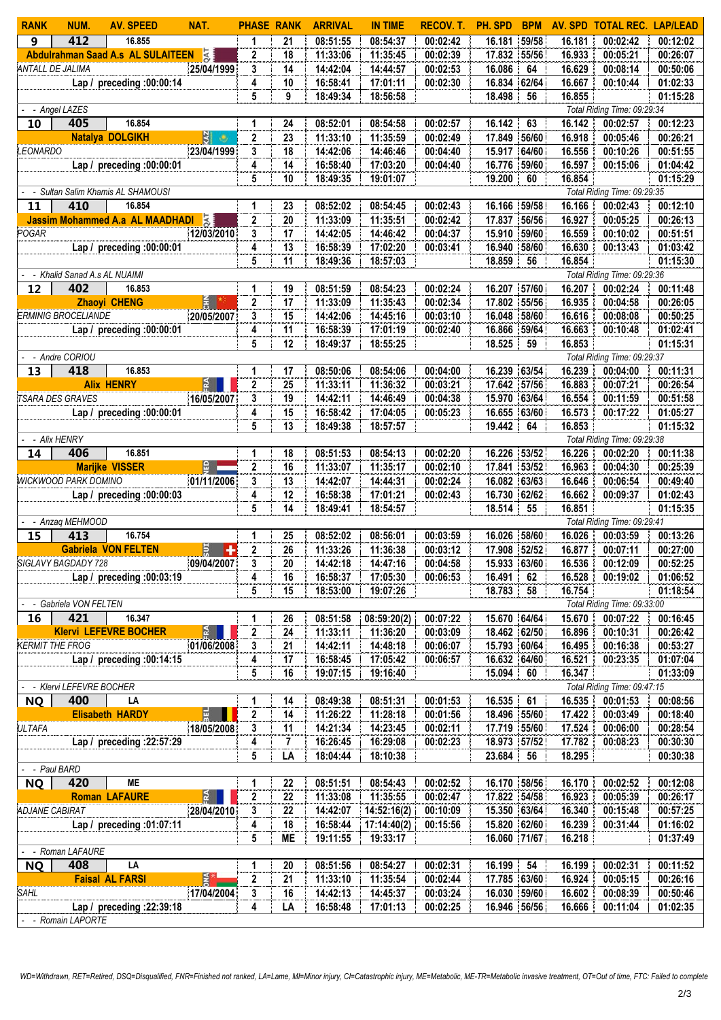| 1 21 08:51:55 08:54:37 00:02:42 16.181 59/58 16.181 00:02:42 00:12:02<br>2 18 11:33:06 11:35:45 00:02:39 17.832 55/56 16.933 00:05:21 00:26:07<br>1999 3 14 14:42:04 14:44:57 00:02:39 17.832 55/56 16.933 00:05:21 00:26:07<br>4 10                              |  |  |
|-------------------------------------------------------------------------------------------------------------------------------------------------------------------------------------------------------------------------------------------------------------------|--|--|
|                                                                                                                                                                                                                                                                   |  |  |
|                                                                                                                                                                                                                                                                   |  |  |
|                                                                                                                                                                                                                                                                   |  |  |
|                                                                                                                                                                                                                                                                   |  |  |
| 1 24 08:52:01 08:54:58 00:02:57 16.142 63 16.142 00:02:57 00:12:23<br>23 11:33:10 11:35:59 00:02:49 17.849 56/60 16.918 00:05:46 00:26:21<br>23/04/1999 3 18 14:42:06 14:46:46 00:04:40 15.917 64/60 16.556 00:10:26 00:51:55                                     |  |  |
|                                                                                                                                                                                                                                                                   |  |  |
|                                                                                                                                                                                                                                                                   |  |  |
| 4 14 16:58:40 17:03:20 00:04:40 16.776 59/60 16.597 00:15:06 01:04:42<br>5 10 18:49:35 19:01:07 19:200 60 16.854 01:15:29                                                                                                                                         |  |  |
| $\begin{array}{ c c c c c c }\hline \hspace{1.6cm}5 & \hspace{1.4cm}10 & \hspace{1.4cm}18:49:35 & \hspace{1.4cm}19:01:07\hline \end{array}$                                                                                                                       |  |  |
| 1 23 08:52:02 08:54:45 00:02:43 16.166 59/58 16.166 00:02:43                                                                                                                                                                                                      |  |  |
|                                                                                                                                                                                                                                                                   |  |  |
|                                                                                                                                                                                                                                                                   |  |  |
|                                                                                                                                                                                                                                                                   |  |  |
| 2 20 11:33:09 11:35:51 00:02:42 17.837 56/56 16.927 00:05:25 00:26:13<br>3 17 14:42:05 14:46:42 00:04:37 15.910 59/60 16.559 00:10:02 00:51:51<br>4 13 16:58:39 17:02:20 00:03:41 16.940 58/60 16.630 00:13:43 01:03:42<br>5 11 18:49:3                           |  |  |
|                                                                                                                                                                                                                                                                   |  |  |
|                                                                                                                                                                                                                                                                   |  |  |
| 1 19 08:51:59 08:54:23 00:02:24 16.207 57/60 16.207 00:02:24 00:11:48<br>2 17 11:33:09 11:35:43 00:02:34 17.802 55/56 16.935 00:04:58 00:26:05<br>1 3 15 14:42:06 14:45:16 00:03:10 16.048 58/60 16.616 00:08:08 00:50:25<br>4 11 16                              |  |  |
|                                                                                                                                                                                                                                                                   |  |  |
|                                                                                                                                                                                                                                                                   |  |  |
|                                                                                                                                                                                                                                                                   |  |  |
|                                                                                                                                                                                                                                                                   |  |  |
| 1 17 08:50:06 08:54:06 00:04:00 16.239 63/54 16.239 00:04:00 00:11:31<br>2 2 25 11:33:11 11:36:32 00:03:21 17.642 57/56 16.883 00:07:21 00:26:54<br>2007 3 19 14:42:11 14:46:49 00:04:38 15.970 63/64 16.554 00:11:59 00:51:58                                    |  |  |
|                                                                                                                                                                                                                                                                   |  |  |
|                                                                                                                                                                                                                                                                   |  |  |
| 4 15 16:58:42 17:04:05 00:05:23 16.655 63/60 16.573 00:17:22 01:05:27<br>5 13 18:49:38 18:57:57 19.442 64 16.853 01:15:32                                                                                                                                         |  |  |
|                                                                                                                                                                                                                                                                   |  |  |
| $\overline{1}$ 1 18 08:51:53 08:54:13 00:02:20 16.226 53/52 16.226 00:02:20 00:11:38                                                                                                                                                                              |  |  |
| 16 11:33:07 11:35:17 00:02:10 17.841 53/52 16.963 00:04:30 00:25:39<br>13 14:42:07 14:44:31 00:02:24 16.082 63/63 16.646 00:06:54 00:49:40                                                                                                                        |  |  |
|                                                                                                                                                                                                                                                                   |  |  |
| 4 12 16:58:38 17:01:21 00:02:43 16.730 62/62 16.662 00:09:37 0<br>5 14 18:49:41 18:54:57 18:54 55 16.851 0                                                                                                                                                        |  |  |
|                                                                                                                                                                                                                                                                   |  |  |
|                                                                                                                                                                                                                                                                   |  |  |
| 25 08:52:02 08:56:01 00:03:59 16.026 58/60 16.026 00:03:59                                                                                                                                                                                                        |  |  |
|                                                                                                                                                                                                                                                                   |  |  |
|                                                                                                                                                                                                                                                                   |  |  |
| Cabriela VON FELTEN 3. 20 11:33:26 11:33:26 11:36:38 00:03:12 17.908 52/52 16.877 00:07:11 00:27:00<br>SIGLAVY BAGDADY 728 09/04/2007 3 20 14:42:18 14:47:16 00:04:58 15.933 63/60 16.536 00:12:09 00:52:25<br>Lap / preceding :00:0                              |  |  |
|                                                                                                                                                                                                                                                                   |  |  |
|                                                                                                                                                                                                                                                                   |  |  |
| 1 26 08:51:58 08:59:20(2) 00:07:22 15.670 64/64 15.670 00:07:22 00:16:45<br>2 24 11:33:11 11:36:20 00:03:09 18.462 62/50 16.896 00:10:31 00:26:42<br>2 24 11:33:11 11:36:20 00:03:09 18.462 62/50 16.896 00:10:31 00:26:42<br>2 21 1                              |  |  |
|                                                                                                                                                                                                                                                                   |  |  |
|                                                                                                                                                                                                                                                                   |  |  |
|                                                                                                                                                                                                                                                                   |  |  |
|                                                                                                                                                                                                                                                                   |  |  |
|                                                                                                                                                                                                                                                                   |  |  |
|                                                                                                                                                                                                                                                                   |  |  |
| 1 14 08:49:38 08:51:31 00:01:53 16.535 61 16.535 00:01:53 00:08:56<br>2 14 11:26:22 11:28:18 00:01:56 18.496 55/60 17.422 00:03:49 00:18:40<br>3 11 14:21:34 14:23:45 00:02:11 17.719 55/60 17.524 00:06:00 00:28:54<br>4 7 16:26:45                              |  |  |
|                                                                                                                                                                                                                                                                   |  |  |
|                                                                                                                                                                                                                                                                   |  |  |
|                                                                                                                                                                                                                                                                   |  |  |
| $\begin{array}{ c cccccccccccc }\hline 1&22&08:51:51&08:54:43&00:02:52&16.170&58/56&16.170&00:02:52&00:12:08 \\\hline 2&22&11:33:08&11:35:55&00:02:47&17.822&54/58&16.923&00:05:39&00:26:17 \\\hline 0&3&22&14:42:07&14:52:16(2)&00:10:09&15.350&63/64&16.340&$   |  |  |
|                                                                                                                                                                                                                                                                   |  |  |
|                                                                                                                                                                                                                                                                   |  |  |
|                                                                                                                                                                                                                                                                   |  |  |
|                                                                                                                                                                                                                                                                   |  |  |
|                                                                                                                                                                                                                                                                   |  |  |
|                                                                                                                                                                                                                                                                   |  |  |
| $\begin{array}{ c ccccccccccccccc }\hline &1&20&08:51:56&08:54:27&00:02:31&16.199&54&16.199&00:02:31&00:11:52\cr\hline &2&21&11:33:10&11:35:54&00:02:44&17.785&63/60&16.924&00:05:15&00:26:16\cr\hline &3&16&14:42:13&14:45:37&00:03:24&16.030&59/60&16.602&00:0$ |  |  |
|                                                                                                                                                                                                                                                                   |  |  |
|                                                                                                                                                                                                                                                                   |  |  |
|                                                                                                                                                                                                                                                                   |  |  |